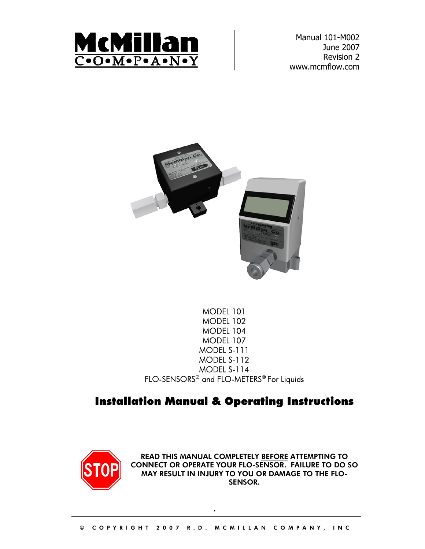

Manual 101-M002 June 2007 Revision 2 www.mcmflow.com



## MODEL 101 MODEL 102 MODEL 104 MODEL 107 MODEL S-111 MODEL S-112 MODEL S-114 FLO-SENSORS® and FLO-METERS® For Liquids

## Installation Manual & Operating Instructions



READ THIS MANUAL COMPLETELY BEFORE ATTEMPTING TO CONNECT OR OPERATE YOUR FLO-SENSOR. FAILURE TO DO SO MAY RESULT IN INJURY TO YOU OR DAMAGE TO THE FLO-SENSOR.

.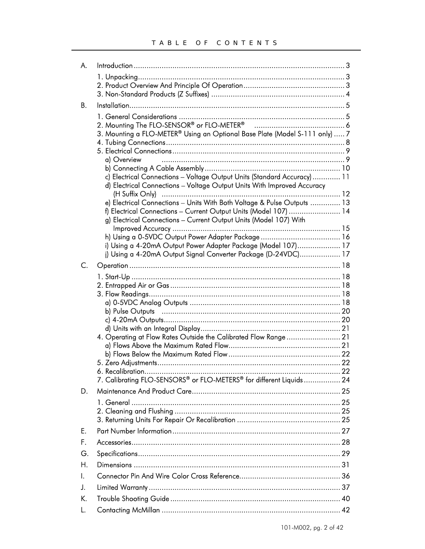| A. |                                                                                          |     |
|----|------------------------------------------------------------------------------------------|-----|
|    |                                                                                          |     |
| В. |                                                                                          |     |
|    |                                                                                          |     |
|    |                                                                                          |     |
|    | 3. Mounting a FLO-METER® Using an Optional Base Plate (Model S-111 only)  7              |     |
|    |                                                                                          |     |
|    | a) Overview                                                                              |     |
|    |                                                                                          |     |
|    | c) Electrical Connections - Voltage Output Units (Standard Accuracy)  11                 |     |
|    | d) Electrical Connections - Voltage Output Units With Improved Accuracy                  |     |
|    | e) Electrical Connections - Units With Both Voltage & Pulse Outputs  13                  |     |
|    | f) Electrical Connections - Current Output Units (Model 107)  14                         |     |
|    | g) Electrical Connections - Current Output Units (Model 107) With                        |     |
|    |                                                                                          |     |
|    | i) Using a 4-20mA Output Power Adapter Package (Model 107) 17                            |     |
|    | i) Using a 4-20mA Output Signal Converter Package (D-24VDC) 17                           |     |
| C. |                                                                                          |     |
|    |                                                                                          |     |
|    |                                                                                          |     |
|    |                                                                                          |     |
|    |                                                                                          |     |
|    |                                                                                          |     |
|    |                                                                                          |     |
|    | 4. Operating at Flow Rates Outside the Calibrated Flow Range 21                          |     |
|    |                                                                                          |     |
|    |                                                                                          |     |
|    | 6. Recalibration.<br>7. Calibrating FLO-SENSORS® or FLO-METERS® for different Liquids 24 | .22 |
| D. |                                                                                          |     |
|    |                                                                                          |     |
|    |                                                                                          |     |
|    |                                                                                          |     |
| Е. |                                                                                          |     |
| F. |                                                                                          |     |
| G. |                                                                                          |     |
| Η. |                                                                                          |     |
| I. |                                                                                          |     |
| J. |                                                                                          |     |
| K. |                                                                                          |     |
| L. |                                                                                          |     |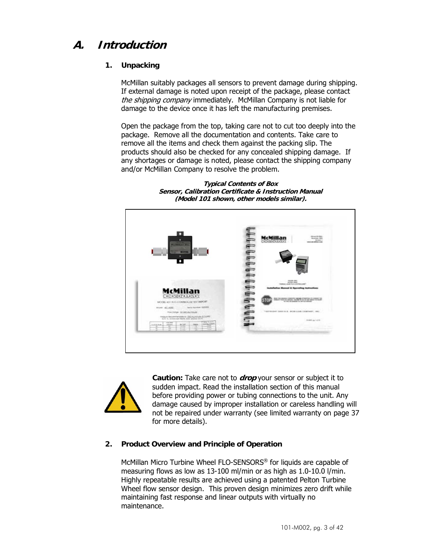## **A. Introduction**

## **1. Unpacking**

McMillan suitably packages all sensors to prevent damage during shipping. If external damage is noted upon receipt of the package, please contact the shipping company immediately. McMillan Company is not liable for damage to the device once it has left the manufacturing premises.

Open the package from the top, taking care not to cut too deeply into the package. Remove all the documentation and contents. Take care to remove all the items and check them against the packing slip. The products should also be checked for any concealed shipping damage. If any shortages or damage is noted, please contact the shipping company and/or McMillan Company to resolve the problem.

**Typical Contents of Box Sensor, Calibration Certificate & Instruction Manual (Model 101 shown, other models similar).** 





**Caution:** Take care not to **drop** your sensor or subject it to sudden impact. Read the installation section of this manual before providing power or tubing connections to the unit. Any damage caused by improper installation or careless handling will not be repaired under warranty (see limited warranty on page 37 for more details).

## **2. Product Overview and Principle of Operation**

McMillan Micro Turbine Wheel FLO-SENSORS® for liquids are capable of measuring flows as low as 13-100 ml/min or as high as 1.0-10.0 l/min. Highly repeatable results are achieved using a patented Pelton Turbine Wheel flow sensor design. This proven design minimizes zero drift while maintaining fast response and linear outputs with virtually no maintenance.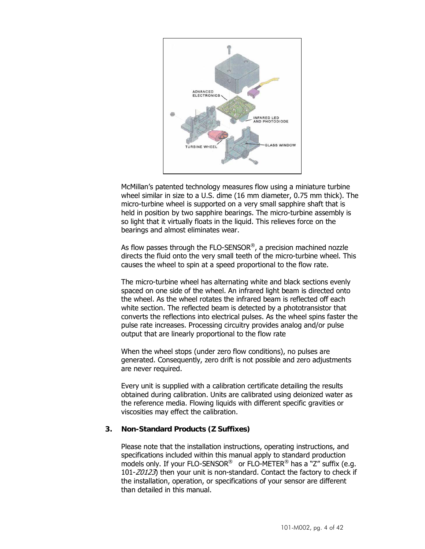

McMillan's patented technology measures flow using a miniature turbine wheel similar in size to a U.S. dime (16 mm diameter, 0.75 mm thick). The micro-turbine wheel is supported on a very small sapphire shaft that is held in position by two sapphire bearings. The micro-turbine assembly is so light that it virtually floats in the liquid. This relieves force on the bearings and almost eliminates wear.

As flow passes through the FLO-SENSOR®, a precision machined nozzle directs the fluid onto the very small teeth of the micro-turbine wheel. This causes the wheel to spin at a speed proportional to the flow rate.

The micro-turbine wheel has alternating white and black sections evenly spaced on one side of the wheel. An infrared light beam is directed onto the wheel. As the wheel rotates the infrared beam is reflected off each white section. The reflected beam is detected by a phototransistor that converts the reflections into electrical pulses. As the wheel spins faster the pulse rate increases. Processing circuitry provides analog and/or pulse output that are linearly proportional to the flow rate

When the wheel stops (under zero flow conditions), no pulses are generated. Consequently, zero drift is not possible and zero adjustments are never required.

Every unit is supplied with a calibration certificate detailing the results obtained during calibration. Units are calibrated using deionized water as the reference media. Flowing liquids with different specific gravities or viscosities may effect the calibration.

#### **3. Non-Standard Products (Z Suffixes)**

Please note that the installation instructions, operating instructions, and specifications included within this manual apply to standard production models only. If your FLO-SENSOR<sup>®</sup> or FLO-METER<sup>®</sup> has a "Z" suffix (e.g. 101-Z0123) then your unit is non-standard. Contact the factory to check if the installation, operation, or specifications of your sensor are different than detailed in this manual.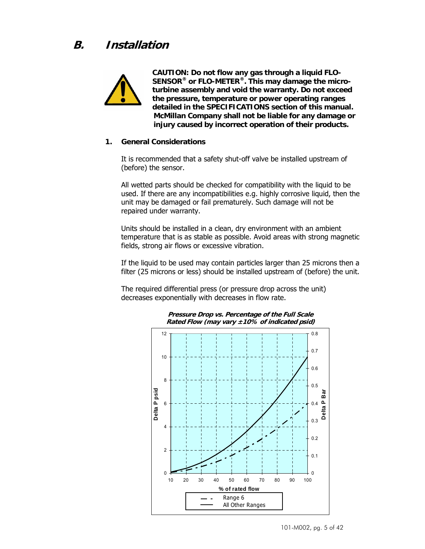**B. Installation** 



**CAUTION: Do not flow any gas through a liquid FLO-SENSOR® or FLO-METER®. This may damage the microturbine assembly and void the warranty. Do not exceed the pressure, temperature or power operating ranges detailed in the SPECIFICATIONS section of this manual. McMillan Company shall not be liable for any damage or injury caused by incorrect operation of their products.** 

#### **1. General Considerations**

It is recommended that a safety shut-off valve be installed upstream of (before) the sensor.

All wetted parts should be checked for compatibility with the liquid to be used. If there are any incompatibilities e.g. highly corrosive liquid, then the unit may be damaged or fail prematurely. Such damage will not be repaired under warranty.

Units should be installed in a clean, dry environment with an ambient temperature that is as stable as possible. Avoid areas with strong magnetic fields, strong air flows or excessive vibration.

If the liquid to be used may contain particles larger than 25 microns then a filter (25 microns or less) should be installed upstream of (before) the unit.

The required differential press (or pressure drop across the unit) decreases exponentially with decreases in flow rate.



#### **Pressure Drop vs. Percentage of the Full Scale Rated Flow (may vary ±10% of indicated psid)**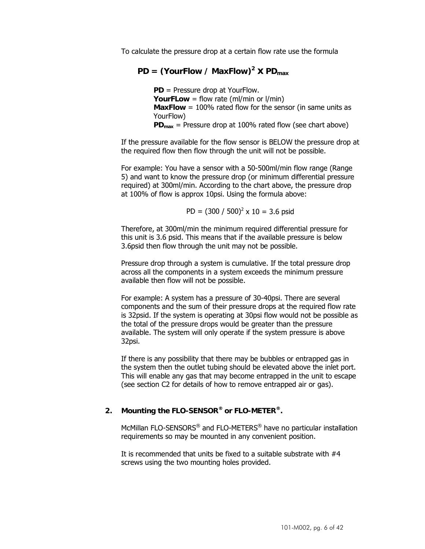To calculate the pressure drop at a certain flow rate use the formula

## $PD = (YourFlow / MaxFlow)^2 \times PD_{max}$

**PD** = Pressure drop at YourFlow. **YourFLow** = flow rate (ml/min or l/min) **MaxFlow** = 100% rated flow for the sensor (in same units as YourFlow) **PDmax** = Pressure drop at 100% rated flow (see chart above)

If the pressure available for the flow sensor is BELOW the pressure drop at the required flow then flow through the unit will not be possible.

For example: You have a sensor with a 50-500ml/min flow range (Range 5) and want to know the pressure drop (or minimum differential pressure required) at 300ml/min. According to the chart above, the pressure drop at 100% of flow is approx 10psi. Using the formula above:

$$
PD = (300 / 500)^2 \times 10 = 3.6
$$
 psid

Therefore, at 300ml/min the minimum required differential pressure for this unit is 3.6 psid. This means that if the available pressure is below 3.6psid then flow through the unit may not be possible.

Pressure drop through a system is cumulative. If the total pressure drop across all the components in a system exceeds the minimum pressure available then flow will not be possible.

For example: A system has a pressure of 30-40psi. There are several components and the sum of their pressure drops at the required flow rate is 32psid. If the system is operating at 30psi flow would not be possible as the total of the pressure drops would be greater than the pressure available. The system will only operate if the system pressure is above 32psi.

If there is any possibility that there may be bubbles or entrapped gas in the system then the outlet tubing should be elevated above the inlet port. This will enable any gas that may become entrapped in the unit to escape (see section C2 for details of how to remove entrapped air or gas).

#### **2. Mounting the FLO-SENSOR® or FLO-METER®.**

McMillan FLO-SENSORS® and FLO-METERS® have no particular installation requirements so may be mounted in any convenient position.

It is recommended that units be fixed to a suitable substrate with #4 screws using the two mounting holes provided.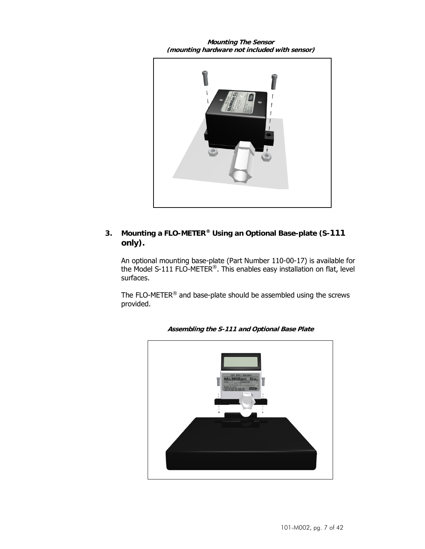**Mounting The Sensor (mounting hardware not included with sensor)** 



## **3. Mounting a FLO-METER® Using an Optional Base-plate (S-111 only).**

An optional mounting base-plate (Part Number 110-00-17) is available for the Model S-111 FLO-METER®. This enables easy installation on flat, level surfaces.

The FLO-METER® and base-plate should be assembled using the screws provided.



**Assembling the S-111 and Optional Base Plate**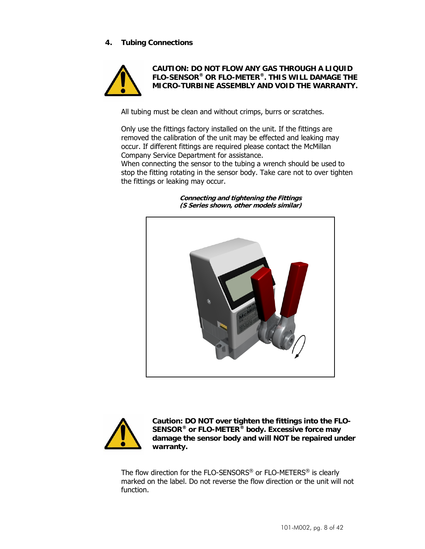## **4. Tubing Connections**



**CAUTION: DO NOT FLOW ANY GAS THROUGH A LIQUID FLO-SENSOR® OR FLO-METER®. THIS WILL DAMAGE THE MICRO-TURBINE ASSEMBLY AND VOID THE WARRANTY.** 

All tubing must be clean and without crimps, burrs or scratches.

Only use the fittings factory installed on the unit. If the fittings are removed the calibration of the unit may be effected and leaking may occur. If different fittings are required please contact the McMillan Company Service Department for assistance.

When connecting the sensor to the tubing a wrench should be used to stop the fitting rotating in the sensor body. Take care not to over tighten the fittings or leaking may occur.

> **Connecting and tightening the Fittings (S Series shown, other models similar)**





**Caution: DO NOT over tighten the fittings into the FLO-SENSOR® or FLO-METER® body. Excessive force may damage the sensor body and will NOT be repaired under warranty.** 

The flow direction for the FLO-SENSORS® or FLO-METERS® is clearly marked on the label. Do not reverse the flow direction or the unit will not function.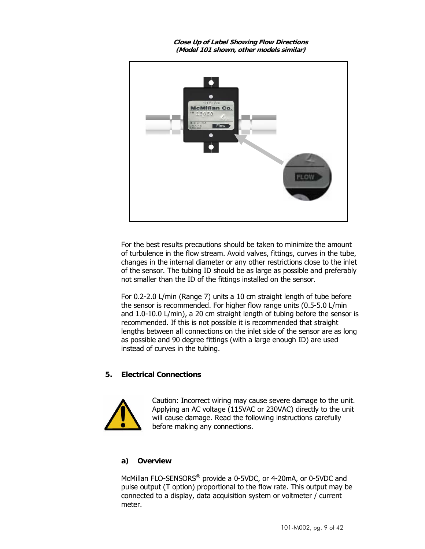**Close Up of Label Showing Flow Directions (Model 101 shown, other models similar)** 



For the best results precautions should be taken to minimize the amount of turbulence in the flow stream. Avoid valves, fittings, curves in the tube, changes in the internal diameter or any other restrictions close to the inlet of the sensor. The tubing ID should be as large as possible and preferably not smaller than the ID of the fittings installed on the sensor.

For 0.2-2.0 L/min (Range 7) units a 10 cm straight length of tube before the sensor is recommended. For higher flow range units (0.5-5.0 L/min and 1.0-10.0 L/min), a 20 cm straight length of tubing before the sensor is recommended. If this is not possible it is recommended that straight lengths between all connections on the inlet side of the sensor are as long as possible and 90 degree fittings (with a large enough ID) are used instead of curves in the tubing.

#### **5. Electrical Connections**



Caution: Incorrect wiring may cause severe damage to the unit. Applying an AC voltage (115VAC or 230VAC) directly to the unit will cause damage. Read the following instructions carefully before making any connections.

#### **a) Overview**

McMillan FLO-SENSORS® provide a 0-5VDC, or 4-20mA, or 0-5VDC and pulse output (T option) proportional to the flow rate. This output may be connected to a display, data acquisition system or voltmeter / current meter.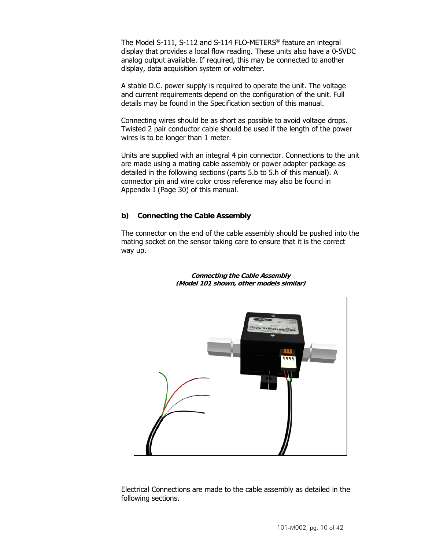The Model S-111, S-112 and S-114 FLO-METERS® feature an integral display that provides a local flow reading. These units also have a 0-5VDC analog output available. If required, this may be connected to another display, data acquisition system or voltmeter.

A stable D.C. power supply is required to operate the unit. The voltage and current requirements depend on the configuration of the unit. Full details may be found in the Specification section of this manual.

Connecting wires should be as short as possible to avoid voltage drops. Twisted 2 pair conductor cable should be used if the length of the power wires is to be longer than 1 meter.

Units are supplied with an integral 4 pin connector. Connections to the unit are made using a mating cable assembly or power adapter package as detailed in the following sections (parts 5.b to 5.h of this manual). A connector pin and wire color cross reference may also be found in Appendix I (Page 30) of this manual.

#### **b) Connecting the Cable Assembly**

The connector on the end of the cable assembly should be pushed into the mating socket on the sensor taking care to ensure that it is the correct way up.



**Connecting the Cable Assembly (Model 101 shown, other models similar)** 

Electrical Connections are made to the cable assembly as detailed in the following sections.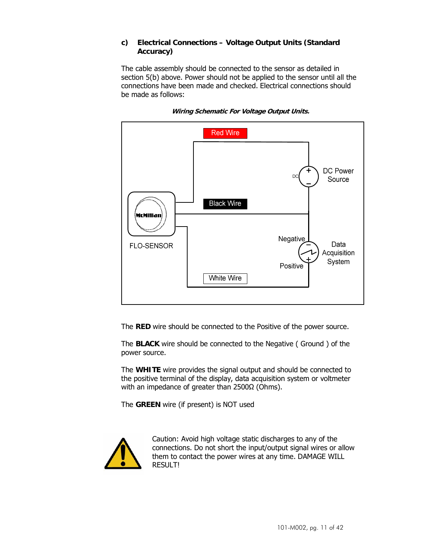### **c) Electrical Connections – Voltage Output Units (Standard Accuracy)**

The cable assembly should be connected to the sensor as detailed in section 5(b) above. Power should not be applied to the sensor until all the connections have been made and checked. Electrical connections should be made as follows:



**Wiring Schematic For Voltage Output Units.** 

The **RED** wire should be connected to the Positive of the power source.

The **BLACK** wire should be connected to the Negative ( Ground ) of the power source.

The **WHITE** wire provides the signal output and should be connected to the positive terminal of the display, data acquisition system or voltmeter with an impedance of greater than 2500Ω (Ohms).

The **GREEN** wire (if present) is NOT used

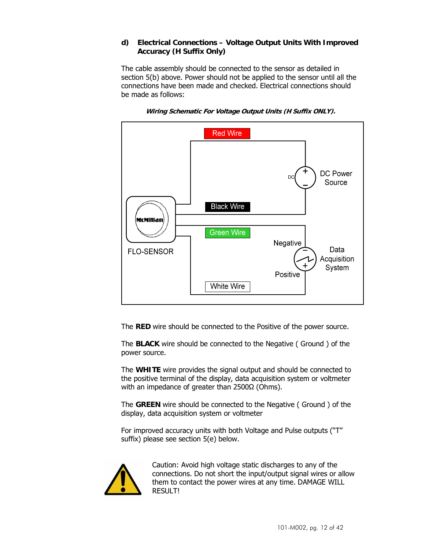## **d) Electrical Connections – Voltage Output Units With Improved Accuracy (H Suffix Only)**

The cable assembly should be connected to the sensor as detailed in section 5(b) above. Power should not be applied to the sensor until all the connections have been made and checked. Electrical connections should be made as follows:



**Wiring Schematic For Voltage Output Units (H Suffix ONLY).** 

The **RED** wire should be connected to the Positive of the power source.

The **BLACK** wire should be connected to the Negative ( Ground ) of the power source.

The **WHITE** wire provides the signal output and should be connected to the positive terminal of the display, data acquisition system or voltmeter with an impedance of greater than 2500Ω (Ohms).

The **GREEN** wire should be connected to the Negative ( Ground ) of the display, data acquisition system or voltmeter

For improved accuracy units with both Voltage and Pulse outputs ("T" suffix) please see section 5(e) below.

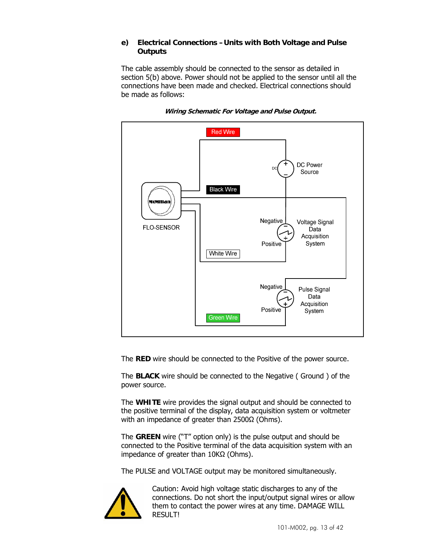### **e) Electrical Connections –Units with Both Voltage and Pulse Outputs**

The cable assembly should be connected to the sensor as detailed in section 5(b) above. Power should not be applied to the sensor until all the connections have been made and checked. Electrical connections should be made as follows:



**Wiring Schematic For Voltage and Pulse Output.** 

The **RED** wire should be connected to the Positive of the power source.

The **BLACK** wire should be connected to the Negative ( Ground ) of the power source.

The **WHITE** wire provides the signal output and should be connected to the positive terminal of the display, data acquisition system or voltmeter with an impedance of greater than 2500Ω (Ohms).

The **GREEN** wire ("T" option only) is the pulse output and should be connected to the Positive terminal of the data acquisition system with an impedance of greater than 10KΩ (Ohms).

The PULSE and VOLTAGE output may be monitored simultaneously.

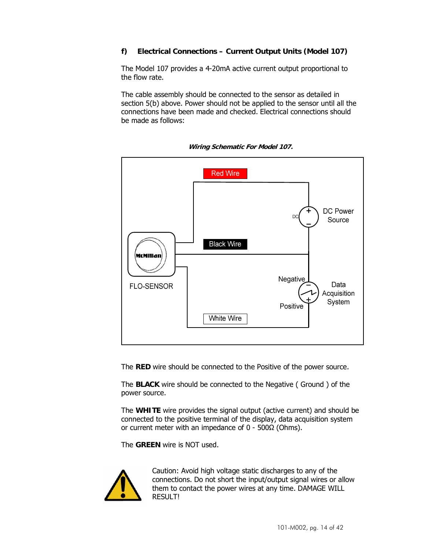## **f) Electrical Connections – Current Output Units (Model 107)**

The Model 107 provides a 4-20mA active current output proportional to the flow rate.

The cable assembly should be connected to the sensor as detailed in section 5(b) above. Power should not be applied to the sensor until all the connections have been made and checked. Electrical connections should be made as follows:



**Wiring Schematic For Model 107.** 

The **RED** wire should be connected to the Positive of the power source.

The **BLACK** wire should be connected to the Negative ( Ground ) of the power source.

The **WHITE** wire provides the signal output (active current) and should be connected to the positive terminal of the display, data acquisition system or current meter with an impedance of 0 - 500Ω (Ohms).

The **GREEN** wire is NOT used.

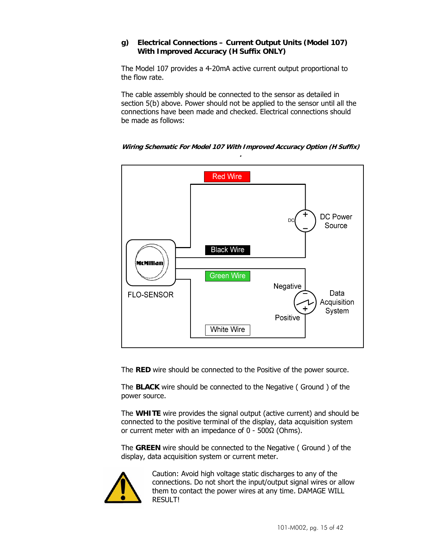## **g) Electrical Connections – Current Output Units (Model 107) With Improved Accuracy (H Suffix ONLY)**

The Model 107 provides a 4-20mA active current output proportional to the flow rate.

The cable assembly should be connected to the sensor as detailed in section 5(b) above. Power should not be applied to the sensor until all the connections have been made and checked. Electrical connections should be made as follows:



**Wiring Schematic For Model 107 With Improved Accuracy Option (H Suffix)** 

The **RED** wire should be connected to the Positive of the power source.

The **BLACK** wire should be connected to the Negative ( Ground ) of the power source.

The **WHITE** wire provides the signal output (active current) and should be connected to the positive terminal of the display, data acquisition system or current meter with an impedance of 0 - 500Ω (Ohms).

The **GREEN** wire should be connected to the Negative ( Ground ) of the display, data acquisition system or current meter.

![](_page_14_Picture_9.jpeg)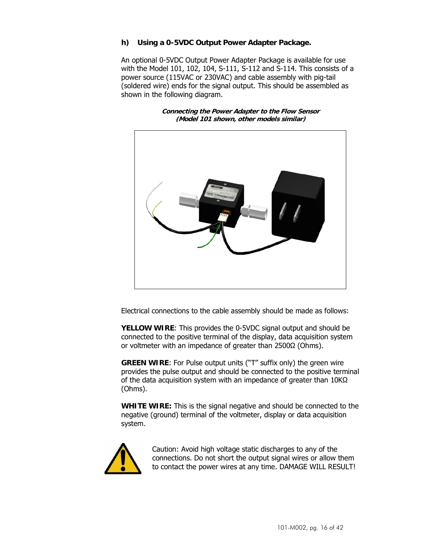## **h) Using a 0-5VDC Output Power Adapter Package.**

An optional 0-5VDC Output Power Adapter Package is available for use with the Model 101, 102, 104, S-111, S-112 and S-114. This consists of a power source (115VAC or 230VAC) and cable assembly with pig-tail (soldered wire) ends for the signal output. This should be assembled as shown in the following diagram.

> **Connecting the Power Adapter to the Flow Sensor (Model 101 shown, other models similar)**

![](_page_15_Picture_3.jpeg)

Electrical connections to the cable assembly should be made as follows:

**YELLOW WIRE**: This provides the 0-5VDC signal output and should be connected to the positive terminal of the display, data acquisition system or voltmeter with an impedance of greater than 2500Ω (Ohms).

**GREEN WIRE**: For Pulse output units ("T" suffix only) the green wire provides the pulse output and should be connected to the positive terminal of the data acquisition system with an impedance of greater than 10KΩ (Ohms).

**WHITE WIRE:** This is the signal negative and should be connected to the negative (ground) terminal of the voltmeter, display or data acquisition system.

![](_page_15_Picture_8.jpeg)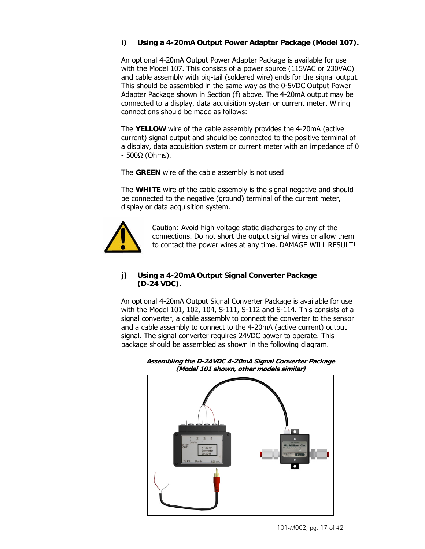## **i) Using a 4-20mA Output Power Adapter Package (Model 107).**

An optional 4-20mA Output Power Adapter Package is available for use with the Model 107. This consists of a power source (115VAC or 230VAC) and cable assembly with pig-tail (soldered wire) ends for the signal output. This should be assembled in the same way as the 0-5VDC Output Power Adapter Package shown in Section (f) above. The 4-20mA output may be connected to a display, data acquisition system or current meter. Wiring connections should be made as follows:

The **YELLOW** wire of the cable assembly provides the 4-20mA (active current) signal output and should be connected to the positive terminal of a display, data acquisition system or current meter with an impedance of 0 - 500Ω (Ohms).

The **GREEN** wire of the cable assembly is not used

The **WHITE** wire of the cable assembly is the signal negative and should be connected to the negative (ground) terminal of the current meter, display or data acquisition system.

![](_page_16_Picture_5.jpeg)

Caution: Avoid high voltage static discharges to any of the connections. Do not short the output signal wires or allow them to contact the power wires at any time. DAMAGE WILL RESULT!

#### **j) Using a 4-20mA Output Signal Converter Package (D-24 VDC).**

An optional 4-20mA Output Signal Converter Package is available for use with the Model 101, 102, 104, S-111, S-112 and S-114. This consists of a signal converter, a cable assembly to connect the converter to the sensor and a cable assembly to connect to the 4-20mA (active current) output signal. The signal converter requires 24VDC power to operate. This package should be assembled as shown in the following diagram.

![](_page_16_Figure_9.jpeg)

**Assembling the D-24VDC 4-20mA Signal Converter Package (Model 101 shown, other models similar)**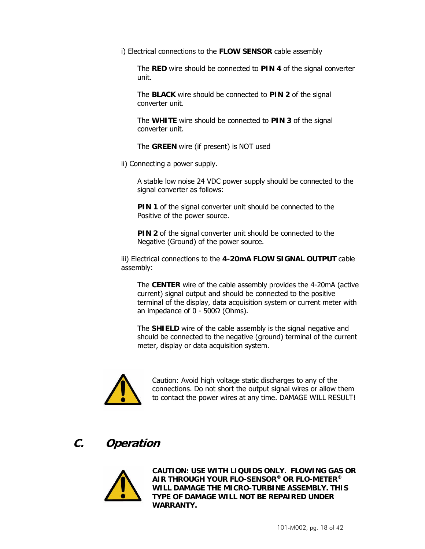i) Electrical connections to the **FLOW SENSOR** cable assembly

The **RED** wire should be connected to **PIN 4** of the signal converter unit.

The **BLACK** wire should be connected to **PIN 2** of the signal converter unit.

The **WHITE** wire should be connected to **PIN 3** of the signal converter unit.

The **GREEN** wire (if present) is NOT used

ii) Connecting a power supply.

A stable low noise 24 VDC power supply should be connected to the signal converter as follows:

**PIN 1** of the signal converter unit should be connected to the Positive of the power source.

**PIN 2** of the signal converter unit should be connected to the Negative (Ground) of the power source.

iii) Electrical connections to the **4-20mA FLOW SIGNAL OUTPUT** cable assembly:

The **CENTER** wire of the cable assembly provides the 4-20mA (active current) signal output and should be connected to the positive terminal of the display, data acquisition system or current meter with an impedance of 0 - 500Ω (Ohms).

The **SHIELD** wire of the cable assembly is the signal negative and should be connected to the negative (ground) terminal of the current meter, display or data acquisition system.

![](_page_17_Picture_12.jpeg)

Caution: Avoid high voltage static discharges to any of the connections. Do not short the output signal wires or allow them to contact the power wires at any time. DAMAGE WILL RESULT!

## **C. Operation**

![](_page_17_Picture_15.jpeg)

**CAUTION: USE WITH LIQUIDS ONLY. FLOWING GAS OR AIR THROUGH YOUR FLO-SENSOR® OR FLO-METER® WILL DAMAGE THE MICRO-TURBINE ASSEMBLY. THIS TYPE OF DAMAGE WILL NOT BE REPAIRED UNDER WARRANTY.**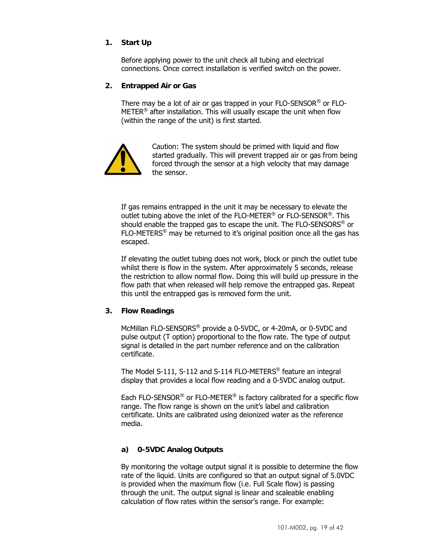## **1. Start Up**

Before applying power to the unit check all tubing and electrical connections. Once correct installation is verified switch on the power.

#### **2. Entrapped Air or Gas**

There may be a lot of air or gas trapped in your FLO-SENSOR® or FLO-METER<sup>®</sup> after installation. This will usually escape the unit when flow (within the range of the unit) is first started.

![](_page_18_Picture_4.jpeg)

Caution: The system should be primed with liquid and flow started gradually. This will prevent trapped air or gas from being forced through the sensor at a high velocity that may damage the sensor.

If gas remains entrapped in the unit it may be necessary to elevate the outlet tubing above the inlet of the FLO-METER® or FLO-SENSOR®. This should enable the trapped gas to escape the unit. The FLO-SENSORS<sup>®</sup> or  $FLO-METERS<sup>®</sup>$  may be returned to it's original position once all the gas has escaped.

If elevating the outlet tubing does not work, block or pinch the outlet tube whilst there is flow in the system. After approximately 5 seconds, release the restriction to allow normal flow. Doing this will build up pressure in the flow path that when released will help remove the entrapped gas. Repeat this until the entrapped gas is removed form the unit.

#### **3. Flow Readings**

McMillan FLO-SENSORS® provide a 0-5VDC, or 4-20mA, or 0-5VDC and pulse output (T option) proportional to the flow rate. The type of output signal is detailed in the part number reference and on the calibration certificate.

The Model S-111, S-112 and S-114 FLO-METERS® feature an integral display that provides a local flow reading and a 0-5VDC analog output.

Each FLO-SENSOR® or FLO-METER® is factory calibrated for a specific flow range. The flow range is shown on the unit's label and calibration certificate. Units are calibrated using deionized water as the reference media.

### **a) 0-5VDC Analog Outputs**

By monitoring the voltage output signal it is possible to determine the flow rate of the liquid. Units are configured so that an output signal of 5.0VDC is provided when the maximum flow (i.e. Full Scale flow) is passing through the unit. The output signal is linear and scaleable enabling calculation of flow rates within the sensor's range. For example: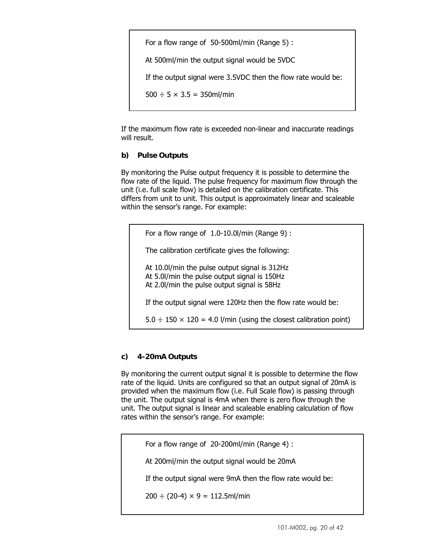For a flow range of 50-500ml/min (Range 5) : At 500ml/min the output signal would be 5VDC If the output signal were 3.5VDC then the flow rate would be:  $500 \div 5 \times 3.5 = 350$ ml/min

If the maximum flow rate is exceeded non-linear and inaccurate readings will result.

## **b) Pulse Outputs**

By monitoring the Pulse output frequency it is possible to determine the flow rate of the liquid. The pulse frequency for maximum flow through the unit (i.e. full scale flow) is detailed on the calibration certificate. This differs from unit to unit. This output is approximately linear and scaleable within the sensor's range. For example:

For a flow range of 1.0-10.0l/min (Range 9) : The calibration certificate gives the following: At 10.0l/min the pulse output signal is 312Hz At 5.0l/min the pulse output signal is 150Hz At 2.0l/min the pulse output signal is 58Hz If the output signal were 120Hz then the flow rate would be:  $5.0 \div 150 \times 120 = 4.0$  l/min (using the closest calibration point)

## **c) 4-20mA Outputs**

By monitoring the current output signal it is possible to determine the flow rate of the liquid. Units are configured so that an output signal of 20mA is provided when the maximum flow (i.e. Full Scale flow) is passing through the unit. The output signal is 4mA when there is zero flow through the unit. The output signal is linear and scaleable enabling calculation of flow rates within the sensor's range. For example:

For a flow range of 20-200ml/min (Range 4) :

At 200ml/min the output signal would be 20mA

If the output signal were 9mA then the flow rate would be:

 $200 \div (20-4) \times 9 = 112.5$ ml/min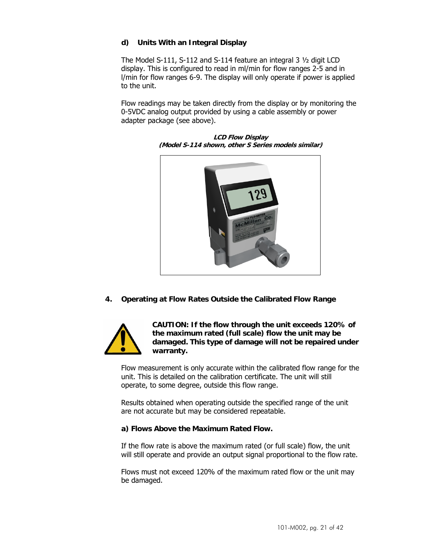## **d) Units With an Integral Display**

The Model S-111, S-112 and S-114 feature an integral 3 ½ digit LCD display. This is configured to read in ml/min for flow ranges 2-5 and in l/min for flow ranges 6-9. The display will only operate if power is applied to the unit.

Flow readings may be taken directly from the display or by monitoring the 0-5VDC analog output provided by using a cable assembly or power adapter package (see above).

![](_page_20_Picture_3.jpeg)

**LCD Flow Display (Model S-114 shown, other S Series models similar)** 

**4. Operating at Flow Rates Outside the Calibrated Flow Range** 

![](_page_20_Picture_6.jpeg)

**CAUTION: If the flow through the unit exceeds 120% of the maximum rated (full scale) flow the unit may be damaged. This type of damage will not be repaired under** 

Flow measurement is only accurate within the calibrated flow range for the unit. This is detailed on the calibration certificate. The unit will still operate, to some degree, outside this flow range.

Results obtained when operating outside the specified range of the unit are not accurate but may be considered repeatable.

## **a) Flows Above the Maximum Rated Flow.**

If the flow rate is above the maximum rated (or full scale) flow, the unit will still operate and provide an output signal proportional to the flow rate.

Flows must not exceed 120% of the maximum rated flow or the unit may be damaged.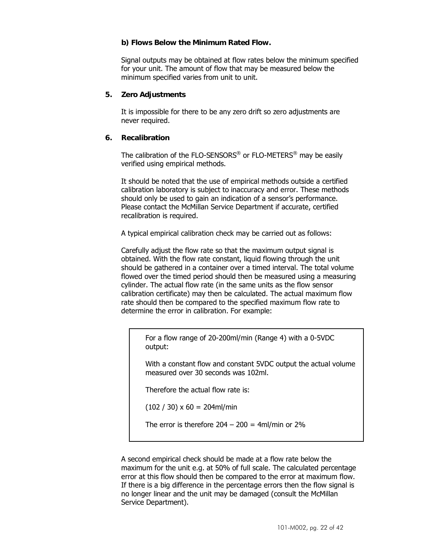#### **b) Flows Below the Minimum Rated Flow.**

Signal outputs may be obtained at flow rates below the minimum specified for your unit. The amount of flow that may be measured below the minimum specified varies from unit to unit.

#### **5. Zero Adjustments**

It is impossible for there to be any zero drift so zero adjustments are never required.

#### **6. Recalibration**

The calibration of the FLO-SENSORS® or FLO-METERS® may be easily verified using empirical methods.

It should be noted that the use of empirical methods outside a certified calibration laboratory is subject to inaccuracy and error. These methods should only be used to gain an indication of a sensor's performance. Please contact the McMillan Service Department if accurate, certified recalibration is required.

A typical empirical calibration check may be carried out as follows:

Carefully adjust the flow rate so that the maximum output signal is obtained. With the flow rate constant, liquid flowing through the unit should be gathered in a container over a timed interval. The total volume flowed over the timed period should then be measured using a measuring cylinder. The actual flow rate (in the same units as the flow sensor calibration certificate) may then be calculated. The actual maximum flow rate should then be compared to the specified maximum flow rate to determine the error in calibration. For example:

For a flow range of 20-200ml/min (Range 4) with a 0-5VDC output:

With a constant flow and constant 5VDC output the actual volume measured over 30 seconds was 102ml.

Therefore the actual flow rate is:

 $(102 / 30) \times 60 = 204$ ml/min

The error is therefore  $204 - 200 = 4$ ml/min or  $2\%$ 

A second empirical check should be made at a flow rate below the maximum for the unit e.g. at 50% of full scale. The calculated percentage error at this flow should then be compared to the error at maximum flow. If there is a big difference in the percentage errors then the flow signal is no longer linear and the unit may be damaged (consult the McMillan Service Department).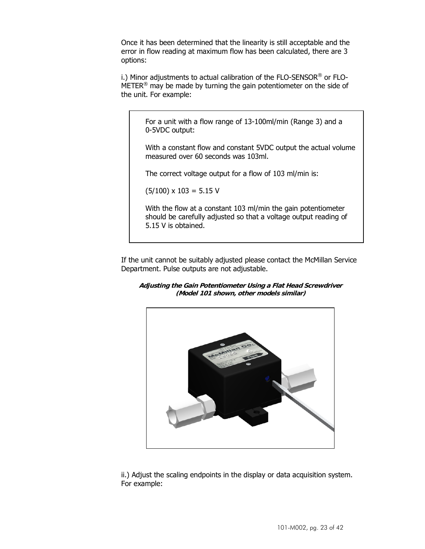Once it has been determined that the linearity is still acceptable and the error in flow reading at maximum flow has been calculated, there are 3 options:

i.) Minor adjustments to actual calibration of the FLO-SENSOR® or FLO-METER® may be made by turning the gain potentiometer on the side of the unit. For example:

For a unit with a flow range of 13-100ml/min (Range 3) and a 0-5VDC output:

With a constant flow and constant 5VDC output the actual volume measured over 60 seconds was 103ml.

The correct voltage output for a flow of 103 ml/min is:

 $(5/100) \times 103 = 5.15$  V

With the flow at a constant 103 ml/min the gain potentiometer should be carefully adjusted so that a voltage output reading of 5.15 V is obtained.

If the unit cannot be suitably adjusted please contact the McMillan Service Department. Pulse outputs are not adjustable.

![](_page_22_Figure_8.jpeg)

![](_page_22_Picture_9.jpeg)

ii.) Adjust the scaling endpoints in the display or data acquisition system. For example: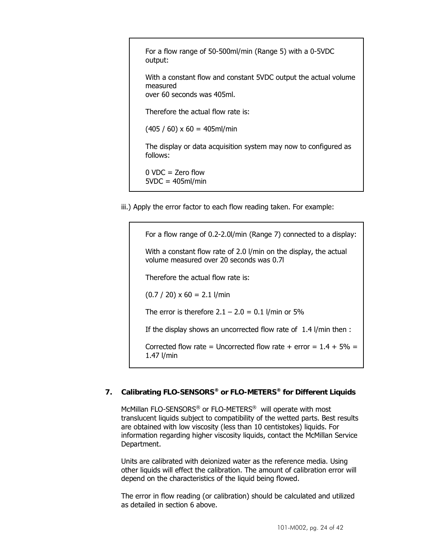For a flow range of 50-500ml/min (Range 5) with a 0-5VDC output:

With a constant flow and constant 5VDC output the actual volume measured over 60 seconds was 405ml.

Therefore the actual flow rate is:

 $(405 / 60) \times 60 = 405$ ml/min

The display or data acquisition system may now to configured as follows:

 $0$  VDC = Zero flow  $5VDC = 405ml/min$ 

iii.) Apply the error factor to each flow reading taken. For example:

For a flow range of 0.2-2.0l/min (Range 7) connected to a display: With a constant flow rate of 2.0 l/min on the display, the actual volume measured over 20 seconds was 0.7l Therefore the actual flow rate is:  $(0.7 / 20) \times 60 = 2.1$  l/min The error is therefore  $2.1 - 2.0 = 0.1$  l/min or 5% If the display shows an uncorrected flow rate of 1.4 l/min then : Corrected flow rate = Uncorrected flow rate + error =  $1.4 + 5\%$  = 1.47 l/min

## **7. Calibrating FLO-SENSORS® or FLO-METERS® for Different Liquids**

McMillan FLO-SENSORS® or FLO-METERS® will operate with most translucent liquids subject to compatibility of the wetted parts. Best results are obtained with low viscosity (less than 10 centistokes) liquids. For information regarding higher viscosity liquids, contact the McMillan Service Department.

Units are calibrated with deionized water as the reference media. Using other liquids will effect the calibration. The amount of calibration error will depend on the characteristics of the liquid being flowed.

The error in flow reading (or calibration) should be calculated and utilized as detailed in section 6 above.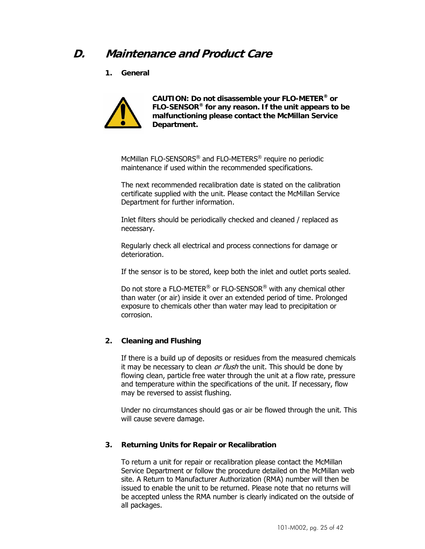## **D. Maintenance and Product Care**

**1. General** 

![](_page_24_Picture_2.jpeg)

**CAUTION: Do not disassemble your FLO-METER® or FLO-SENSOR® for any reason. If the unit appears to be malfunctioning please contact the McMillan Service Department.** 

McMillan FLO-SENSORS® and FLO-METERS® require no periodic maintenance if used within the recommended specifications.

The next recommended recalibration date is stated on the calibration certificate supplied with the unit. Please contact the McMillan Service Department for further information.

Inlet filters should be periodically checked and cleaned / replaced as necessary.

Regularly check all electrical and process connections for damage or deterioration.

If the sensor is to be stored, keep both the inlet and outlet ports sealed.

Do not store a FLO-METER<sup>®</sup> or FLO-SENSOR<sup>®</sup> with any chemical other than water (or air) inside it over an extended period of time. Prolonged exposure to chemicals other than water may lead to precipitation or corrosion.

## **2. Cleaning and Flushing**

If there is a build up of deposits or residues from the measured chemicals it may be necessary to clean or flush the unit. This should be done by flowing clean, particle free water through the unit at a flow rate, pressure and temperature within the specifications of the unit. If necessary, flow may be reversed to assist flushing.

Under no circumstances should gas or air be flowed through the unit. This will cause severe damage.

## **3. Returning Units for Repair or Recalibration**

To return a unit for repair or recalibration please contact the McMillan Service Department or follow the procedure detailed on the McMillan web site. A Return to Manufacturer Authorization (RMA) number will then be issued to enable the unit to be returned. Please note that no returns will be accepted unless the RMA number is clearly indicated on the outside of all packages.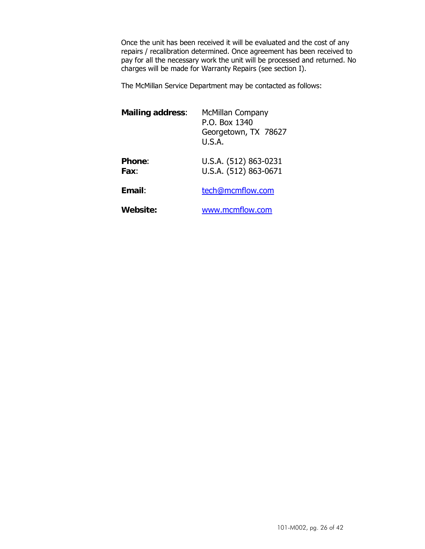Once the unit has been received it will be evaluated and the cost of any repairs / recalibration determined. Once agreement has been received to pay for all the necessary work the unit will be processed and returned. No charges will be made for Warranty Repairs (see section I).

The McMillan Service Department may be contacted as follows:

| <b>Mailing address:</b> | McMillan Company<br>P.O. Box 1340<br>Georgetown, TX 78627<br>U.S.A. |
|-------------------------|---------------------------------------------------------------------|
| <b>Phone:</b><br>Fax:   | U.S.A. (512) 863-0231<br>U.S.A. (512) 863-0671                      |
| Email:                  | tech@mcmflow.com                                                    |
| <b>Website:</b>         | www.mcmflow.com                                                     |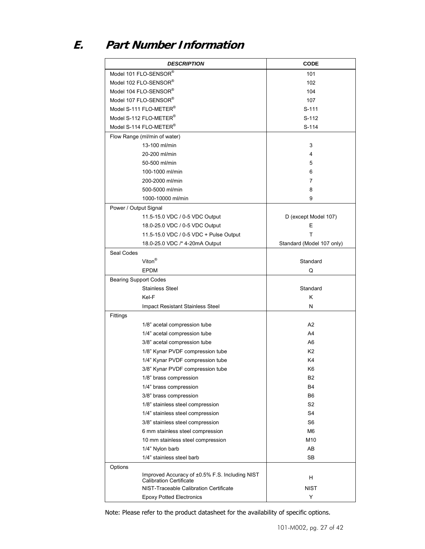# **E. Part Number Information**

| <b>DESCRIPTION</b>                                                               | <b>CODE</b>               |
|----------------------------------------------------------------------------------|---------------------------|
| Model 101 FLO-SENSOR®                                                            | 101                       |
| Model 102 FLO-SENSOR®                                                            | 102                       |
| Model 104 FLO-SENSOR®                                                            | 104                       |
| Model 107 FLO-SENSOR®                                                            | 107                       |
| Model S-111 FLO-METER <sup>®</sup>                                               | S-111                     |
| Model S-112 FLO-METER <sup>®</sup>                                               | S-112                     |
| Model S-114 FLO-METER <sup>®</sup>                                               | S-114                     |
| Flow Range (ml/min of water)                                                     |                           |
| 13-100 ml/min                                                                    | 3                         |
| 20-200 ml/min                                                                    | 4                         |
| 50-500 ml/min                                                                    | 5                         |
| 100-1000 ml/min                                                                  | 6                         |
| 200-2000 ml/min                                                                  | 7                         |
| 500-5000 ml/min                                                                  | 8                         |
| 1000-10000 ml/min                                                                | 9                         |
| Power / Output Signal                                                            |                           |
| 11.5-15.0 VDC / 0-5 VDC Output                                                   | D (except Model 107)      |
| 18.0-25.0 VDC / 0-5 VDC Output                                                   | E                         |
| 11.5-15.0 VDC / 0-5 VDC + Pulse Output                                           | Т                         |
| 18.0-25.0 VDC /* 4-20mA Output                                                   | Standard (Model 107 only) |
| Seal Codes                                                                       |                           |
| Viton <sup>®</sup>                                                               | Standard                  |
| <b>EPDM</b>                                                                      | Q                         |
| <b>Bearing Support Codes</b>                                                     |                           |
| <b>Stainless Steel</b>                                                           | Standard                  |
| Kel-F                                                                            | κ                         |
| Impact Resistant Stainless Steel                                                 | N                         |
| Fittings                                                                         |                           |
| 1/8" acetal compression tube                                                     | A <sub>2</sub>            |
| 1/4" acetal compression tube                                                     | A4                        |
| 3/8" acetal compression tube                                                     | A6                        |
| 1/8" Kynar PVDF compression tube                                                 | K <sub>2</sub>            |
| 1/4" Kynar PVDF compression tube                                                 | K4                        |
| 3/8" Kynar PVDF compression tube                                                 | K6                        |
| 1/8" brass compression                                                           | B <sub>2</sub>            |
| 1/4" brass compression                                                           | B4                        |
| 3/8" brass compression                                                           | B6                        |
| 1/8" stainless steel compression                                                 | S <sub>2</sub>            |
| 1/4" stainless steel compression                                                 | S4                        |
| 3/8" stainless steel compression                                                 | S <sub>6</sub>            |
| 6 mm stainless steel compression                                                 | M6                        |
| 10 mm stainless steel compression                                                | M10                       |
| 1/4" Nylon barb                                                                  | AB                        |
| 1/4" stainless steel barb                                                        | SB                        |
| Options                                                                          |                           |
| Improved Accuracy of ±0.5% F.S. Including NIST<br><b>Calibration Certificate</b> | н                         |
| NIST-Traceable Calibration Certificate                                           | <b>NIST</b>               |
| <b>Epoxy Potted Electronics</b>                                                  | Υ                         |

Note: Please refer to the product datasheet for the availability of specific options.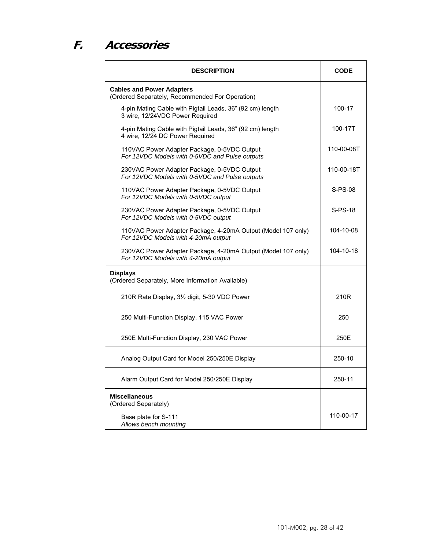# **F. Accessories**

| <b>DESCRIPTION</b>                                                                                  | <b>CODE</b> |
|-----------------------------------------------------------------------------------------------------|-------------|
| <b>Cables and Power Adapters</b><br>(Ordered Separately, Recommended For Operation)                 |             |
| 4-pin Mating Cable with Pigtail Leads, 36" (92 cm) length<br>3 wire, 12/24VDC Power Required        | 100-17      |
| 4-pin Mating Cable with Pigtail Leads, 36" (92 cm) length<br>4 wire, 12/24 DC Power Required        | 100-17T     |
| 110VAC Power Adapter Package, 0-5VDC Output<br>For 12VDC Models with 0-5VDC and Pulse outputs       | 110-00-08T  |
| 230VAC Power Adapter Package, 0-5VDC Output<br>For 12 VDC Models with 0-5 VDC and Pulse outputs     | 110-00-18T  |
| 110VAC Power Adapter Package, 0-5VDC Output<br>For 12VDC Models with 0-5VDC output                  | $S-PS-08$   |
| 230VAC Power Adapter Package, 0-5VDC Output<br>For 12VDC Models with 0-5VDC output                  | $S-PS-18$   |
| 110VAC Power Adapter Package, 4-20mA Output (Model 107 only)<br>For 12VDC Models with 4-20mA output | 104-10-08   |
| 230VAC Power Adapter Package, 4-20mA Output (Model 107 only)<br>For 12VDC Models with 4-20mA output | 104-10-18   |
| <b>Displays</b><br>(Ordered Separately, More Information Available)                                 |             |
| 210R Rate Display, 3 <sup>1/2</sup> digit, 5-30 VDC Power                                           | 210R        |
| 250 Multi-Function Display, 115 VAC Power                                                           | 250         |
| 250E Multi-Function Display, 230 VAC Power                                                          | 250E        |
| Analog Output Card for Model 250/250E Display                                                       | 250-10      |
| Alarm Output Card for Model 250/250E Display                                                        | 250-11      |
| <b>Miscellaneous</b><br>(Ordered Separately)                                                        |             |
| Base plate for S-111<br>Allows bench mounting                                                       | 110-00-17   |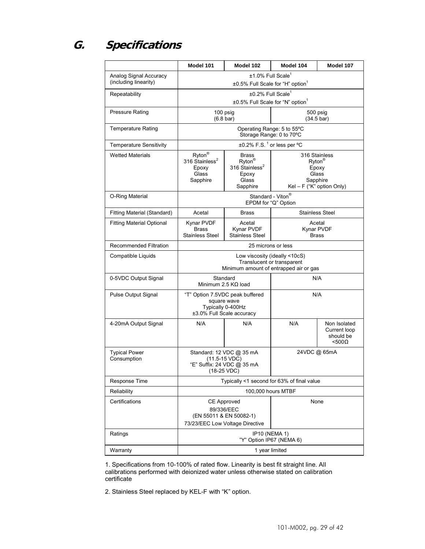# **G. Specifications**

|                                                 | Model 101                                                                                             | Model 102                                                                                      | Model 104                                                                 | Model 107                                                     |
|-------------------------------------------------|-------------------------------------------------------------------------------------------------------|------------------------------------------------------------------------------------------------|---------------------------------------------------------------------------|---------------------------------------------------------------|
| Analog Signal Accuracy<br>(including linearity) | ±1.0% Full Scale <sup>1</sup><br>±0.5% Full Scale for "H" option <sup>1</sup>                         |                                                                                                |                                                                           |                                                               |
| Repeatability                                   | ±0.2% Full Scale <sup>1</sup><br>±0.5% Full Scale for "N" option <sup>1</sup>                         |                                                                                                |                                                                           |                                                               |
| <b>Pressure Rating</b>                          | $(6.8 \text{ bar})$                                                                                   | 100 psig                                                                                       | $(34.5 \text{ bar})$                                                      | 500 psig                                                      |
| <b>Temperature Rating</b>                       |                                                                                                       | Operating Range: 5 to 55°C<br>Storage Range: 0 to 70°C                                         |                                                                           |                                                               |
| <b>Temperature Sensitivity</b>                  |                                                                                                       | ±0.2% F.S. <sup>1</sup> or less per °C                                                         |                                                                           |                                                               |
| <b>Wetted Materials</b>                         | Ryton®<br>316 Stainless <sup>2</sup><br>Epoxy<br>Glass<br>Sapphire                                    | <b>Brass</b><br>Ryton <sup>®</sup><br>316 Stainless <sup>2</sup><br>Epoxy<br>Glass<br>Sapphire | 316 Stainless<br>Ryton <sup>®</sup><br>Glass<br>Kel - F ("K" option Only) | Epoxy<br>Sapphire                                             |
| O-Ring Material                                 |                                                                                                       | Standard - Viton®<br>EPDM for "Q" Option                                                       |                                                                           |                                                               |
| Fitting Material (Standard)                     | Acetal                                                                                                | <b>Brass</b>                                                                                   |                                                                           | <b>Stainless Steel</b>                                        |
| <b>Fitting Material Optional</b>                | Kynar PVDF<br><b>Brass</b><br><b>Stainless Steel</b>                                                  | Acetal<br>Kynar PVDF<br><b>Stainless Steel</b>                                                 | Acetal<br>Kynar PVDF<br><b>Brass</b>                                      |                                                               |
| Recommended Filtration                          | 25 microns or less                                                                                    |                                                                                                |                                                                           |                                                               |
| Compatible Liquids                              | Low viscosity (ideally <10cS)<br>Translucent or transparent<br>Minimum amount of entrapped air or gas |                                                                                                |                                                                           |                                                               |
| 0-5VDC Output Signal                            | Standard<br>N/A<br>Minimum 2.5 $K\Omega$ load                                                         |                                                                                                |                                                                           |                                                               |
| <b>Pulse Output Signal</b>                      | "T" Option 7.5VDC peak buffered<br>square wave<br>Typically 0-400Hz<br>±3.0% Full Scale accuracy      |                                                                                                | N/A                                                                       |                                                               |
| 4-20mA Output Signal                            | N/A                                                                                                   | N/A                                                                                            | N/A                                                                       | Non Isolated<br>Current loop<br>should be<br>$<$ 500 $\Omega$ |
| <b>Typical Power</b><br>Consumption             | Standard: 12 VDC @ 35 mA<br>$(11.5-15$ VDC)<br>"E" Suffix: 24 VDC @ 35 mA<br>(18-25 VDC)              |                                                                                                | 24VDC @ 65mA                                                              |                                                               |
| Response Time                                   | Typically <1 second for 63% of final value                                                            |                                                                                                |                                                                           |                                                               |
| Reliability                                     | 100,000 hours MTBF                                                                                    |                                                                                                |                                                                           |                                                               |
| Certifications                                  | <b>CE Approved</b><br>89/336/EEC<br>(EN 55011 & EN 50082-1)<br>73/23/EEC Low Voltage Directive        |                                                                                                | None                                                                      |                                                               |
| Ratings                                         | <b>IP10 (NEMA 1)</b><br>"Y" Option IP67 (NEMA 6)                                                      |                                                                                                |                                                                           |                                                               |
| Warranty                                        | 1 year limited                                                                                        |                                                                                                |                                                                           |                                                               |

1. Specifications from 10-100% of rated flow. Linearity is best fit straight line. All calibrations performed with deionized water unless otherwise stated on calibration certificate

2. Stainless Steel replaced by KEL-F with "K" option.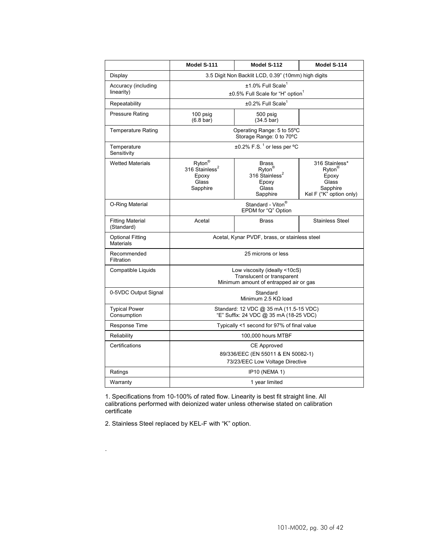|                                             | Model S-111                                                                                           | Model S-112                                                                                    | Model S-114                                                                                  |  |
|---------------------------------------------|-------------------------------------------------------------------------------------------------------|------------------------------------------------------------------------------------------------|----------------------------------------------------------------------------------------------|--|
| Display                                     | 3.5 Digit Non Backlit LCD, 0.39" (10mm) high digits                                                   |                                                                                                |                                                                                              |  |
| Accuracy (including<br>linearity)           | ±1.0% Full Scale <sup>1</sup><br>±0.5% Full Scale for "H" option <sup>1</sup>                         |                                                                                                |                                                                                              |  |
| Repeatability                               |                                                                                                       | ±0.2% Full Scale <sup>1</sup>                                                                  |                                                                                              |  |
| <b>Pressure Rating</b>                      | 100 psig<br>$(6.8 \text{ bar})$                                                                       | 500 psig<br>$(34.5 \text{ bar})$                                                               |                                                                                              |  |
| <b>Temperature Rating</b>                   |                                                                                                       | Operating Range: 5 to 55°C<br>Storage Range: 0 to 70°C                                         |                                                                                              |  |
| Temperature<br>Sensitivity                  |                                                                                                       | $\pm 0.2\%$ F.S. <sup>1</sup> or less per °C                                                   |                                                                                              |  |
| <b>Wetted Materials</b>                     | $Ryton^@$<br>316 Stainless <sup>2</sup><br>Epoxy<br>Glass<br>Sapphire                                 | <b>Brass</b><br>Ryton <sup>®</sup><br>316 Stainless <sup>2</sup><br>Epoxy<br>Glass<br>Sapphire | 316 Stainless*<br>$Rvton^{\otimes}$<br>Epoxy<br>Glass<br>Sapphire<br>Kel F ("K" option only) |  |
| O-Ring Material                             | Standard - Viton <sup>®</sup><br>EPDM for "Q" Option                                                  |                                                                                                |                                                                                              |  |
| <b>Fitting Material</b><br>(Standard)       | Acetal                                                                                                | <b>Brass</b>                                                                                   | <b>Stainless Steel</b>                                                                       |  |
| <b>Optional Fitting</b><br><b>Materials</b> | Acetal, Kynar PVDF, brass, or stainless steel                                                         |                                                                                                |                                                                                              |  |
| Recommended<br>Filtration                   | 25 microns or less                                                                                    |                                                                                                |                                                                                              |  |
| Compatible Liquids                          | Low viscosity (ideally <10cS)<br>Translucent or transparent<br>Minimum amount of entrapped air or gas |                                                                                                |                                                                                              |  |
| 0-5VDC Output Signal                        | Standard<br>Minimum 2.5 $K\Omega$ load                                                                |                                                                                                |                                                                                              |  |
| <b>Typical Power</b><br>Consumption         | Standard: 12 VDC @ 35 mA (11.5-15 VDC)<br>"E" Suffix: 24 VDC @ 35 mA (18-25 VDC)                      |                                                                                                |                                                                                              |  |
| Response Time                               | Typically <1 second for 97% of final value                                                            |                                                                                                |                                                                                              |  |
| Reliability                                 | 100,000 hours MTBF                                                                                    |                                                                                                |                                                                                              |  |
| Certifications                              | <b>CE Approved</b><br>89/336/EEC (EN 55011 & EN 50082-1)<br>73/23/EEC Low Voltage Directive           |                                                                                                |                                                                                              |  |
| Ratings                                     | <b>IP10 (NEMA 1)</b>                                                                                  |                                                                                                |                                                                                              |  |
| Warranty                                    | 1 year limited                                                                                        |                                                                                                |                                                                                              |  |

1. Specifications from 10-100% of rated flow. Linearity is best fit straight line. All calibrations performed with deionized water unless otherwise stated on calibration certificate

2. Stainless Steel replaced by KEL-F with "K" option.

.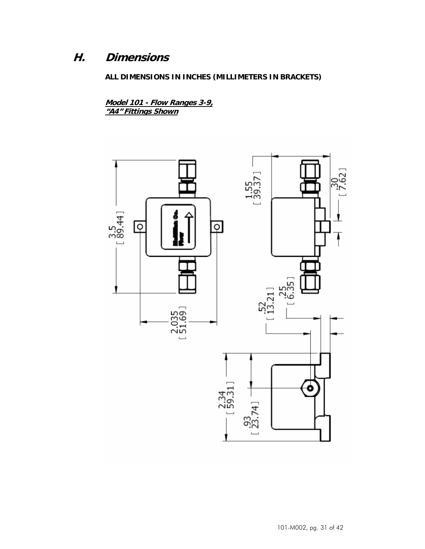## **H. Dimensions**

## **ALL DIMENSIONS IN INCHES (MILLIMETERS IN BRACKETS)**

**Model 101 - Flow Ranges 3-9, "A4" Fittings Shown**

![](_page_30_Figure_3.jpeg)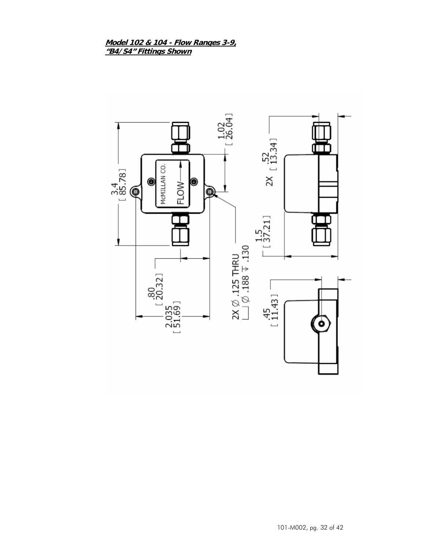#### **Model 102 & 104 - Flow Ranges 3-9, "B4/S4" Fittings Shown**

![](_page_31_Figure_1.jpeg)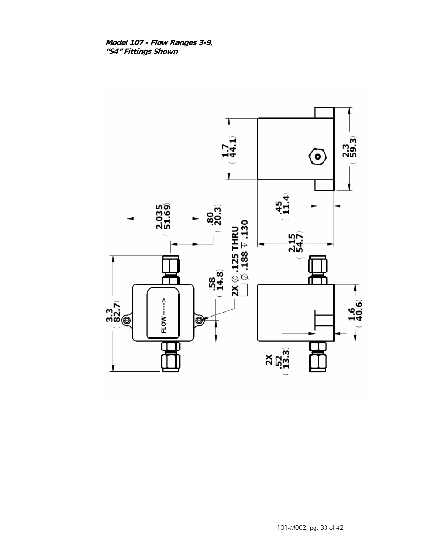**Model 107 - Flow Ranges 3-9, "S4" Fittings Shown**

![](_page_32_Figure_1.jpeg)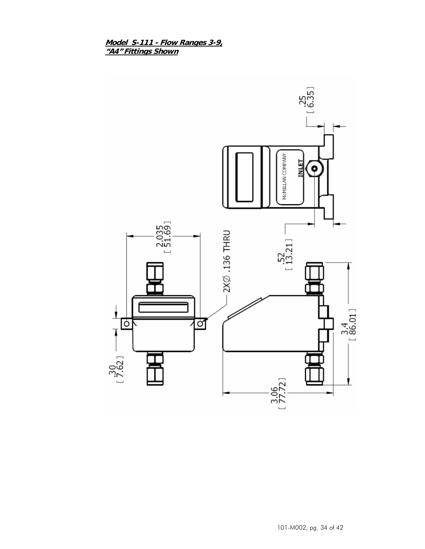**Model S-111 - Flow Ranges 3-9, "A4" Fittings Shown**

![](_page_33_Figure_1.jpeg)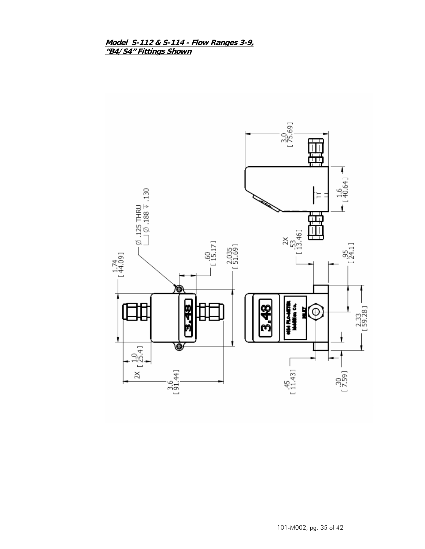## **Model S-112 & S-114 - Flow Ranges 3-9, "B4/S4" Fittings Shown**

![](_page_34_Figure_1.jpeg)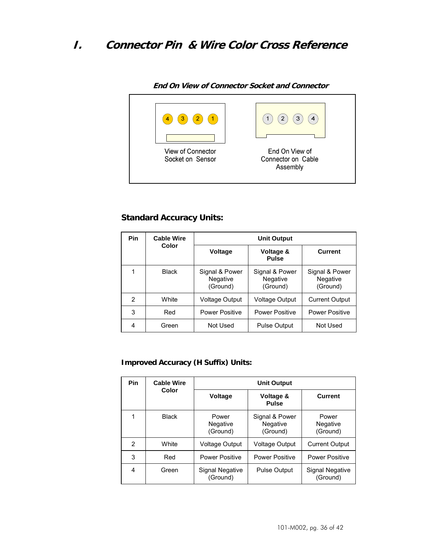## **I. Connector Pin & Wire Color Cross Reference**

![](_page_35_Figure_1.jpeg)

**End On View of Connector Socket and Connector** 

## **Standard Accuracy Units:**

| <b>Pin</b> | <b>Cable Wire</b> | <b>Unit Output</b>                     |                                        |                                        |
|------------|-------------------|----------------------------------------|----------------------------------------|----------------------------------------|
|            | Color             | <b>Voltage</b>                         | Voltage &<br><b>Pulse</b>              | <b>Current</b>                         |
|            | <b>Black</b>      | Signal & Power<br>Negative<br>(Ground) | Signal & Power<br>Negative<br>(Ground) | Signal & Power<br>Negative<br>(Ground) |
| 2          | White             | Voltage Output                         | <b>Voltage Output</b>                  | <b>Current Output</b>                  |
| 3          | Red               | <b>Power Positive</b>                  | <b>Power Positive</b>                  | <b>Power Positive</b>                  |
| 4          | Green             | Not Used                               | <b>Pulse Output</b>                    | Not Used                               |

## **Improved Accuracy (H Suffix) Units:**

| <b>Pin</b> | <b>Cable Wire</b><br>Color | <b>Unit Output</b>            |                                        |                                      |
|------------|----------------------------|-------------------------------|----------------------------------------|--------------------------------------|
|            |                            | <b>Voltage</b>                | Voltage &<br><b>Pulse</b>              | <b>Current</b>                       |
|            | <b>Black</b>               | Power<br>Negative<br>(Ground) | Signal & Power<br>Negative<br>(Ground) | Power<br><b>Negative</b><br>(Ground) |
| 2          | White                      | <b>Voltage Output</b>         | <b>Voltage Output</b>                  | <b>Current Output</b>                |
| 3          | Red                        | <b>Power Positive</b>         | <b>Power Positive</b>                  | <b>Power Positive</b>                |
| 4          | Green                      | Signal Negative<br>(Ground)   | <b>Pulse Output</b>                    | <b>Signal Negative</b><br>(Ground)   |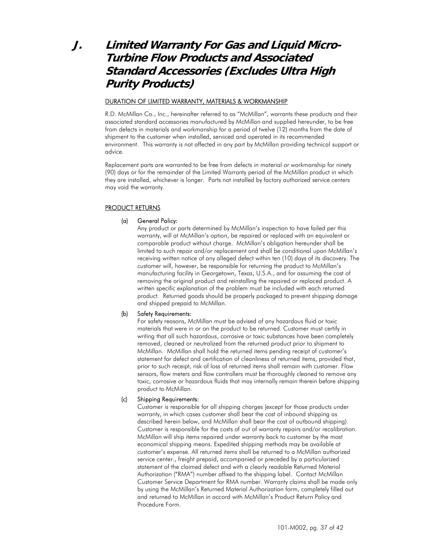## **J. Limited Warranty For Gas and Liquid Micro-Turbine Flow Products and Associated Standard Accessories (Excludes Ultra High Purity Products)**

#### DURATION OF LIMITED WARRANTY, MATERIALS & WORKMANSHIP

R.D. McMillan Co., Inc., hereinafter referred to as "McMillan", warrants these products and their associated standard accessories manufactured by McMillan and supplied hereunder, to be free from defects in materials and workmanship for a period of twelve (12) months from the date of shipment to the customer when installed, serviced and operated in its recommended environment. This warranty is not affected in any part by McMillan providing technical support or advice.

Replacement parts are warranted to be free from defects in material or workmanship for ninety (90) days or for the remainder of the Limited Warranty period of the McMillan product in which they are installed, whichever is longer. Parts not installed by factory authorized service centers may void the warranty.

#### PRODUCT RETURNS

#### (a) General Policy:

Any product or parts determined by McMillan's inspection to have failed per this warranty, will at McMillan's option, be repaired or replaced with an equivalent or comparable product without charge. McMillan's obligation hereunder shall be limited to such repair and/or replacement and shall be conditional upon McMillan's receiving written notice of any alleged defect within ten (10) days of its discovery. The customer will, however, be responsible for returning the product to McMillan's manufacturing facility in Georgetown, Texas, U.S.A., and for assuming the cost of removing the original product and reinstalling the repaired or replaced product. A written specific explanation of the problem must be included with each returned product. Returned goods should be properly packaged to prevent shipping damage and shipped prepaid to McMillan.

#### (b) Safety Requirements:

For safety reasons, McMillan must be advised of any hazardous fluid or toxic materials that were in or on the product to be returned. Customer must certify in writing that all such hazardous, corrosive or toxic substances have been completely removed, cleaned or neutralized from the returned product prior to shipment to McMillan. McMillan shall hold the returned items pending receipt of customer's statement for defect and certification of cleanliness of returned items, provided that, prior to such receipt, risk of loss of returned items shall remain with customer. Flow sensors, flow meters and flow controllers must be thoroughly cleaned to remove any toxic, corrosive or hazardous fluids that may internally remain therein before shipping product to McMillan.

#### (c) Shipping Requirements:

Customer is responsible for all shipping charges (except for those products under warranty, in which cases customer shall bear the cost of inbound shipping as described herein below, and McMillan shall bear the cost of outbound shipping). Customer is responsible for the costs of out of warranty repairs and/or recalibration. McMillan will ship items repaired under warranty back to customer by the most economical shipping means. Expedited shipping methods may be available at customer's expense. All returned items shall be returned to a McMillan authorized service center., freight prepaid, accompanied or preceded by a particularized statement of the claimed defect and with a clearly readable Returned Material Authorization ("RMA") number affixed to the shipping label. Contact McMillan Customer Service Department for RMA number. Warranty claims shall be made only by using the McMillan's Returned Material Authorization form, completely filled out and returned to McMillan in accord with McMillan's Product Return Policy and Procedure Form.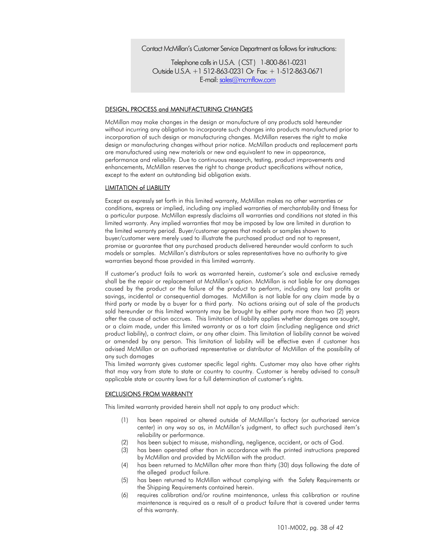Contact McMillan's Customer Service Department as follows for instructions:

Telephone calls in U.S.A. ( CST ) 1-800-861-0231 Outside U.S.A. +1 512-863-0231 Or Fax: + 1-512-863-0671 E-mail: sales@mcmflow.com

#### DESIGN, PROCESS and MANUFACTURING CHANGES

McMillan may make changes in the design or manufacture of any products sold hereunder without incurring any obligation to incorporate such changes into products manufactured prior to incorporation of such design or manufacturing changes. McMillan reserves the right to make design or manufacturing changes without prior notice. McMillan products and replacement parts are manufactured using new materials or new and equivalent to new in appearance, performance and reliability. Due to continuous research, testing, product improvements and enhancements, McMillan reserves the right to change product specifications without notice, except to the extent an outstanding bid obligation exists.

#### LIMITATION of LIABILITY

Except as expressly set forth in this limited warranty, McMillan makes no other warranties or conditions, express or implied, including any implied warranties of merchantability and fitness for a particular purpose. McMillan expressly disclaims all warranties and conditions not stated in this limited warranty. Any implied warranties that may be imposed by law are limited in duration to the limited warranty period. Buyer/customer agrees that models or samples shown to buyer/customer were merely used to illustrate the purchased product and not to represent, promise or guarantee that any purchased products delivered hereunder would conform to such models or samples. McMillan's distributors or sales representatives have no authority to give warranties beyond those provided in this limited warranty.

If customer's product fails to work as warranted herein, customer's sole and exclusive remedy shall be the repair or replacement at McMillan's option. McMillan is not liable for any damages caused by the product or the failure of the product to perform, including any lost profits or savings, incidental or consequential damages. McMillan is not liable for any claim made by a third party or made by a buyer for a third party. No actions arising out of sale of the products sold hereunder or this limited warranty may be brought by either party more than two (2) years after the cause of action accrues. This limitation of liability applies whether damages are sought, or a claim made, under this limited warranty or as a tort claim (including negligence and strict product liability), a contract claim, or any other claim. This limitation of liability cannot be waived or amended by any person. This limitation of liability will be effective even if customer has advised McMillan or an authorized representative or distributor of McMillan of the possibility of any such damages

This limited warranty gives customer specific legal rights. Customer may also have other rights that may vary from state to state or country to country. Customer is hereby advised to consult applicable state or country laws for a full determination of customer's rights.

#### EXCLUSIONS FROM WARRANTY

This limited warranty provided herein shall not apply to any product which:

- (1) has been repaired or altered outside of McMillan's factory (or authorized service center) in any way so as, in McMillan's judgment, to affect such purchased item's reliability or performance.
- (2) has been subject to misuse, mishandling, negligence, accident, or acts of God.
- (3) has been operated other than in accordance with the printed instructions prepared by McMillan and provided by McMillan with the product.
- (4) has been returned to McMillan after more than thirty (30) days following the date of the alleged product failure.
- (5) has been returned to McMillan without complying with the Safety Requirements or the Shipping Requirements contained herein.
- (6) requires calibration and/or routine maintenance, unless this calibration or routine maintenance is required as a result of a product failure that is covered under terms of this warranty.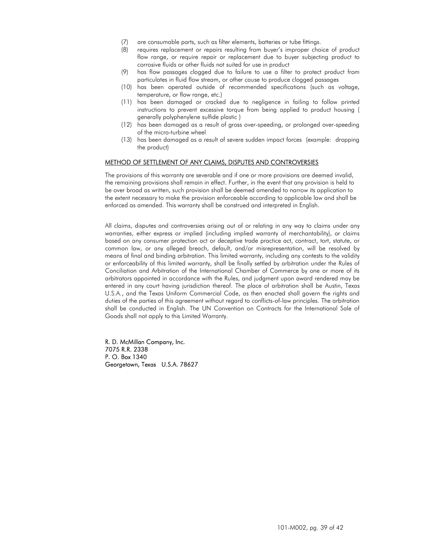- (7) are consumable parts, such as filter elements, batteries or tube fittings.
- (8) requires replacement or repairs resulting from buyer's improper choice of product flow range, or require repair or replacement due to buyer subjecting product to corrosive fluids or other fluids not suited for use in product
- (9) has flow passages clogged due to failure to use a filter to protect product from particulates in fluid flow stream, or other cause to produce clogged passages
- (10) has been operated outside of recommended specifications (such as voltage, temperature, or flow range, etc.)
- (11) has been damaged or cracked due to negligence in failing to follow printed instructions to prevent excessive torque from being applied to product housing ( generally polyphenylene sulfide plastic )
- (12) has been damaged as a result of gross over-speeding, or prolonged over-speeding of the micro-turbine wheel
- (13) has been damaged as a result of severe sudden impact forces (example: dropping the product)

#### METHOD OF SETTLEMENT OF ANY CLAIMS, DISPUTES AND CONTROVERSIES

The provisions of this warranty are severable and if one or more provisions are deemed invalid, the remaining provisions shall remain in effect. Further, in the event that any provision is held to be over broad as written, such provision shall be deemed amended to narrow its application to the extent necessary to make the provision enforceable according to applicable law and shall be enforced as amended. This warranty shall be construed and interpreted in English.

All claims, disputes and controversies arising out of or relating in any way to claims under any warranties, either express or implied (including implied warranty of merchantability), or claims based on any consumer protection act or deceptive trade practice act, contract, tort, statute, or common law, or any alleged breach, default, and/or misrepresentation, will be resolved by means of final and binding arbitration. This limited warranty, including any contests to the validity or enforceability of this limited warranty, shall be finally settled by arbitration under the Rules of Conciliation and Arbitration of the International Chamber of Commerce by one or more of its arbitrators appointed in accordance with the Rules, and judgment upon award rendered may be entered in any court having jurisdiction thereof. The place of arbitration shall be Austin, Texas U.S.A., and the Texas Uniform Commercial Code, as then enacted shall govern the rights and duties of the parties of this agreement without regard to conflicts-of-law principles. The arbitration shall be conducted in English. The UN Convention on Contracts for the International Sale of Goods shall not apply to this Limited Warranty.

R. D. McMillan Company, Inc. 7075 R.R. 2338 P. O. Box 1340 Georgetown, Texas U.S.A. 78627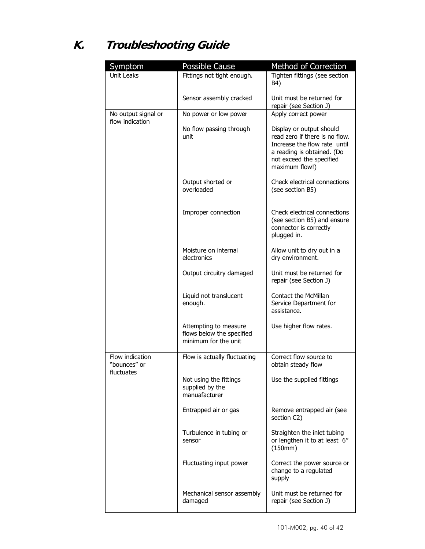# **K. Troubleshooting Guide**

| Symptom                                  | Possible Cause                                                             | Method of Correction                                                                                                                                                   |
|------------------------------------------|----------------------------------------------------------------------------|------------------------------------------------------------------------------------------------------------------------------------------------------------------------|
| Unit Leaks<br>Fittings not tight enough. |                                                                            | Tighten fittings (see section<br>B4)                                                                                                                                   |
|                                          | Sensor assembly cracked                                                    | Unit must be returned for<br>repair (see Section J)                                                                                                                    |
| No output signal or<br>flow indication   | No power or low power                                                      | Apply correct power                                                                                                                                                    |
|                                          | No flow passing through<br>unit                                            | Display or output should<br>read zero if there is no flow.<br>Increase the flow rate until<br>a reading is obtained. (Do<br>not exceed the specified<br>maximum flow!) |
|                                          | Output shorted or<br>overloaded                                            | Check electrical connections<br>(see section B5)                                                                                                                       |
|                                          | Improper connection                                                        | Check electrical connections<br>(see section B5) and ensure<br>connector is correctly<br>plugged in.                                                                   |
|                                          | Moisture on internal<br>electronics                                        | Allow unit to dry out in a<br>dry environment.                                                                                                                         |
|                                          | Output circuitry damaged                                                   | Unit must be returned for<br>repair (see Section J)                                                                                                                    |
|                                          | Liquid not translucent<br>enough.                                          | Contact the McMillan<br>Service Department for<br>assistance.                                                                                                          |
|                                          | Attempting to measure<br>flows below the specified<br>minimum for the unit | Use higher flow rates.                                                                                                                                                 |
| Flow indication<br>"bounces" or          | Flow is actually fluctuating                                               | Correct flow source to<br>obtain steady flow                                                                                                                           |
| fluctuates                               | Not using the fittings<br>supplied by the<br>manuafacturer                 | Use the supplied fittings                                                                                                                                              |
|                                          | Entrapped air or gas                                                       | Remove entrapped air (see<br>section C2)                                                                                                                               |
|                                          | Turbulence in tubing or<br>sensor                                          | Straighten the inlet tubing<br>or lengthen it to at least 6"<br>(150mm)                                                                                                |
|                                          | Fluctuating input power                                                    | Correct the power source or<br>change to a regulated<br>supply                                                                                                         |
|                                          | Mechanical sensor assembly<br>damaged                                      | Unit must be returned for<br>repair (see Section J)                                                                                                                    |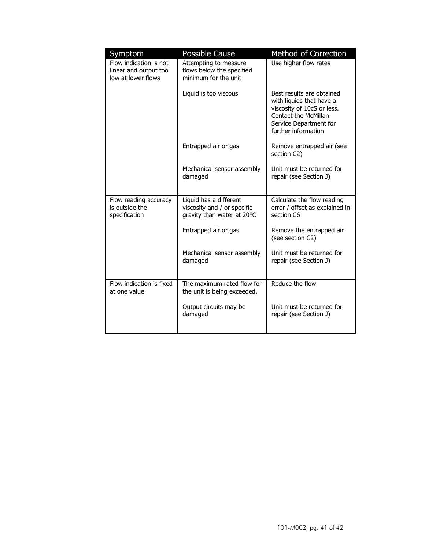| Symptom<br>Flow indication is not<br>linear and output too<br>low at lower flows | <b>Possible Cause</b><br>Attempting to measure<br>flows below the specified<br>minimum for the unit | Method of Correction<br>Use higher flow rates                                                                                                                |
|----------------------------------------------------------------------------------|-----------------------------------------------------------------------------------------------------|--------------------------------------------------------------------------------------------------------------------------------------------------------------|
|                                                                                  | Liquid is too viscous                                                                               | Best results are obtained<br>with liquids that have a<br>viscosity of 10cS or less.<br>Contact the McMillan<br>Service Department for<br>further information |
|                                                                                  | Entrapped air or gas                                                                                | Remove entrapped air (see<br>section C2)                                                                                                                     |
|                                                                                  | Mechanical sensor assembly<br>damaged                                                               | Unit must be returned for<br>repair (see Section J)                                                                                                          |
| Flow reading accuracy<br>is outside the<br>specification                         | Liquid has a different<br>viscosity and / or specific<br>gravity than water at 20°C                 | Calculate the flow reading<br>error / offset as explained in<br>section C6                                                                                   |
|                                                                                  | Entrapped air or gas                                                                                | Remove the entrapped air<br>(see section C2)                                                                                                                 |
|                                                                                  | Mechanical sensor assembly<br>damaged                                                               | Unit must be returned for<br>repair (see Section J)                                                                                                          |
| Flow indication is fixed<br>at one value                                         | The maximum rated flow for<br>the unit is being exceeded.                                           | Reduce the flow                                                                                                                                              |
|                                                                                  | Output circuits may be<br>damaged                                                                   | Unit must be returned for<br>repair (see Section J)                                                                                                          |